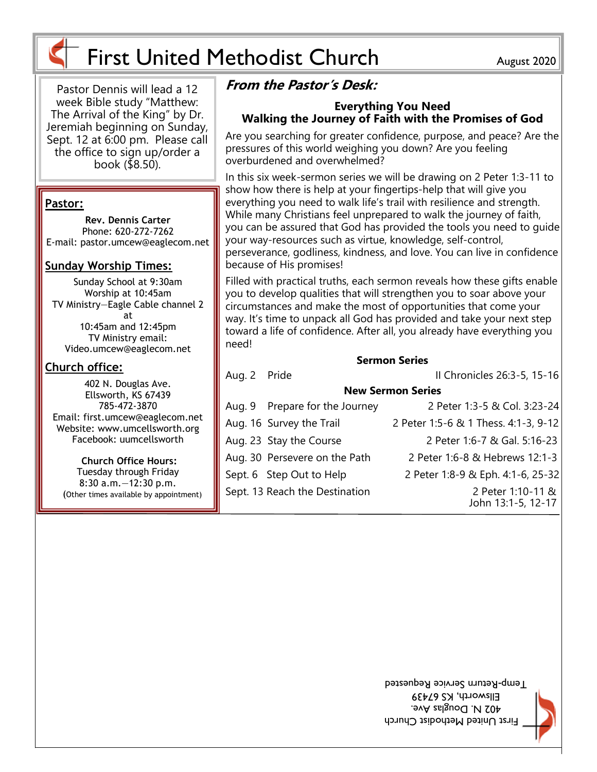



# First United Methodist Church August 2020

need!

Pastor Dennis will lead a 12 week Bible study "Matthew: The Arrival of the King" by Dr. Jeremiah beginning on Sunday, Sept. 12 at 6:00 pm. Please call the office to sign up/order a book ( $$8.50$ ).

#### **Pastor:**

**Rev. Dennis Carter** Phone: 620-272-7262 E-mail: pastor.umcew@eaglecom.net

### **Sunday Worship Times:**

Sunday School at 9:30am Worship at 10:45am TV Ministry—Eagle Cable channel 2 at 10:45am and 12:45pm TV Ministry email: Video.umcew@eaglecom.net

### **Church office:**

402 N. Douglas Ave. Ellsworth, KS 67439 785-472-3870 Email: first.umcew@eaglecom.net Website: www.umcellsworth.org Facebook: uumcellsworth

**Church Office Hours:** Tuesday through Friday 8:30 a.m.—12:30 p.m. (Other times available by appointment)

Aug. 16 Survey the Trail 2 Peter 1:5-6 & 1 Thess. 4:1-3, 9-12

Aug. 23 Stay the Course 2 Peter 1:6-7 & Gal. 5:16-23 Aug. 30 Persevere on the Path 2 Peter 1:6-8 & Hebrews 12:1-3

Sept. 6 Step Out to Help 2 Peter 1:8-9 & Eph. 4:1-6, 25-32

Sept. 13 Reach the Destination 2 Peter 1:10-11 & John 13:1-5, 12-17

> First United Methodist Church 402 N. Douglas Ave. Ellsworth, KS 67439 I emp-Return Service Requested

toward a life of confidence. After all, you already have everything you

**Sermon Series** Aug. 2 Pride II Chronicles 26:3-5, 15-16

**New Sermon Series** Aug. 9 Prepare for the Journey 2 Peter 1:3-5 & Col. 3:23-24

**Walking the Journey of Faith with the Promises of God**

Are you searching for greater confidence, purpose, and peace? Are the pressures of this world weighing you down? Are you feeling overburdened and overwhelmed?

In this six week-sermon series we will be drawing on 2 Peter 1:3-11 to show how there is help at your fingertips-help that will give you everything you need to walk life's trail with resilience and strength. While many Christians feel unprepared to walk the journey of faith, you can be assured that God has provided the tools you need to guide your way-resources such as virtue, knowledge, self-control,

perseverance, godliness, kindness, and love. You can live in confidence because of His promises!

Filled with practical truths, each sermon reveals how these gifts enable you to develop qualities that will strengthen you to soar above your circumstances and make the most of opportunities that come your way. It's time to unpack all God has provided and take your next step

**Everything You Need**

**From the Pastor's Desk:**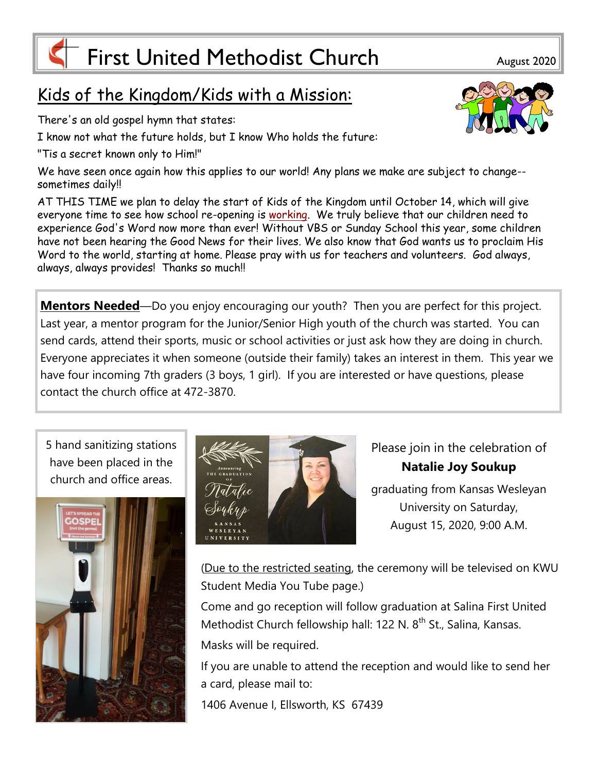# First United Methodist Church August 2020

# Kids of the Kingdom/Kids with a Mission:

There's an old gospel hymn that states:

I know not what the future holds, but I know Who holds the future:

"Tis a secret known only to Him!"

We have seen once again how this applies to our world! Any plans we make are subject to change- sometimes daily!!

AT THIS TIME we plan to delay the start of Kids of the Kingdom until October 14, which will give everyone time to see how school re-opening is [working.](http://working.be) We truly believe that our children need to experience God's Word now more than ever! Without VBS or Sunday School this year, some children have not been hearing the Good News for their lives. We also know that God wants us to proclaim His Word to the world, starting at home. Please pray with us for teachers and volunteers. God always, always, always provides! Thanks so much!!

**Mentors Needed**—Do you enjoy encouraging our youth? Then you are perfect for this project. Last year, a mentor program for the Junior/Senior High youth of the church was started. You can send cards, attend their sports, music or school activities or just ask how they are doing in church. Everyone appreciates it when someone (outside their family) takes an interest in them. This year we have four incoming 7th graders (3 boys, 1 girl). If you are interested or have questions, please contact the church office at 472-3870.

5 hand sanitizing stations have been placed in the church and office areas.





Please join in the celebration of **Natalie Joy Soukup**  graduating from Kansas Wesleyan University on Saturday, August 15, 2020, 9:00 A.M.

(Due to the restricted seating, the ceremony will be televised on KWU Student Media You Tube page.)

Come and go reception will follow graduation at Salina First United Methodist Church fellowship hall: 122 N. 8<sup>th</sup> St., Salina, Kansas. Masks will be required.

If you are unable to attend the reception and would like to send her a card, please mail to:

1406 Avenue I, Ellsworth, KS 67439

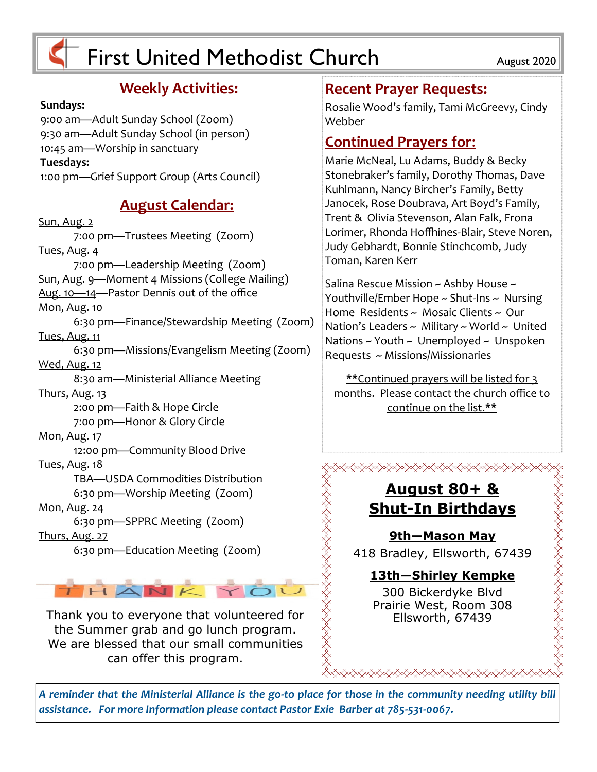# $\overline{F}$  First United Methodist Church  $\overline{F}$  August 2020

### **Weekly Activities:**

#### **Sundays:**

9:00 am—Adult Sunday School (Zoom) 9:30 am—Adult Sunday School (in person) 10:45 am—Worship in sanctuary **Tuesdays:** 1:00 pm—Grief Support Group (Arts Council)

### **August Calendar:**

Sun, Aug. 2 7:00 pm—Trustees Meeting (Zoom) Tues, Aug. 4 7:00 pm—Leadership Meeting (Zoom) Sun, Aug. 9—Moment 4 Missions (College Mailing) Aug. 10—14—Pastor Dennis out of the office Mon, Aug. 10 6:30 pm—Finance/Stewardship Meeting (Zoom) Tues, Aug. 11 6:30 pm—Missions/Evangelism Meeting (Zoom) Wed, Aug. 12 8:30 am—Ministerial Alliance Meeting Thurs, Aug. 13 2:00 pm—Faith & Hope Circle 7:00 pm—Honor & Glory Circle Mon, Aug. 17 12:00 pm—Community Blood Drive Tues, Aug. 18 TBA—USDA Commodities Distribution 6:30 pm—Worship Meeting (Zoom) Mon, Aug. 24 6:30 pm—SPPRC Meeting (Zoom) Thurs, Aug. 27 6:30 pm—Education Meeting (Zoom) Thank you to everyone that volunteered for<br>  $\begin{array}{cc}\n\text{Sta} & \text{Squart 80+8}\n\hline\n\end{array}$ <br>
Thank you to everyone that volunteered for<br>
We are bless of the this renerance of the summer of the sum offer this renerance of the sum

THANKYC

the Summer grab and go lunch program. We are blessed that our small communities can offer this program.

### **Recent Prayer Requests:**

Rosalie Wood's family, Tami McGreevy, Cindy Webber

### **Continued Prayers for**:

Marie McNeal, Lu Adams, Buddy & Becky Stonebraker's family, Dorothy Thomas, Dave Kuhlmann, Nancy Bircher's Family, Betty Janocek, Rose Doubrava, Art Boyd's Family, Trent & Olivia Stevenson, Alan Falk, Frona Lorimer, Rhonda Hoffhines-Blair, Steve Noren, Judy Gebhardt, Bonnie Stinchcomb, Judy Toman, Karen Kerr

Salina Rescue Mission  $\sim$  Ashby House  $\sim$ Youthville/Ember Hope ~ Shut-Ins ~ Nursing Home Residents ~ Mosaic Clients ~ Our Nation's Leaders  $\sim$  Military  $\sim$  World  $\sim$  United Nations  $\sim$  Youth  $\sim$  Unemployed  $\sim$  Unspoken Requests ~ Missions/Missionaries

\*\*Continued prayers will be listed for 3 months. Please contact the church office to continue on the list.\*\*

> **August 80+ & Shut-In Birthdays**

<del></del>

**9th—Mason May** 418 Bradley, Ellsworth, 67439

### **13th—Shirley Kempke**

REAR THAT THE TABLES TO THE TABLES TO THE TABLES TO THE TABLES TO THE TABLES TO THE TABLES TO THE TABLES TO TH

300 Bickerdyke Blvd Prairie West, Room 308

*A reminder that the Ministerial Alliance is the go-to place for those in the community needing utility bill assistance. For more Information please contact Pastor Exie Barber at 785-531-0067.*